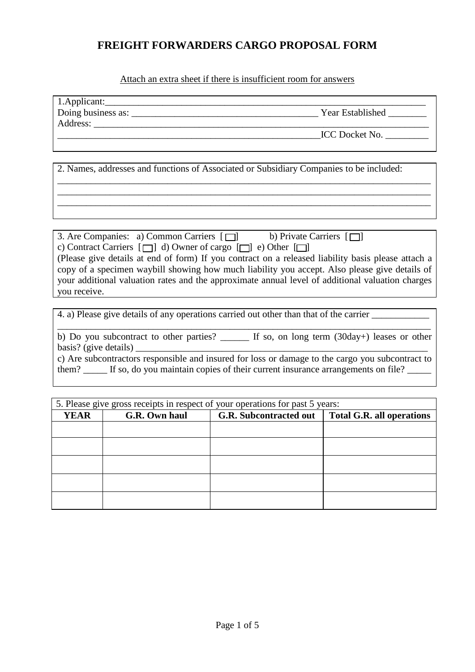Attach an extra sheet if there is insufficient room for answers

| 1.Applicant:       |                         |
|--------------------|-------------------------|
| Doing business as: | <b>Year Established</b> |
| Address:           |                         |
|                    | <b>ICC</b> Docket No.   |

\_\_\_\_\_\_\_\_\_\_\_\_\_\_\_\_\_\_\_\_\_\_\_\_\_\_\_\_\_\_\_\_\_\_\_\_\_\_\_\_\_\_\_\_\_\_\_\_\_\_\_\_\_\_\_\_\_\_\_\_\_\_\_\_\_\_\_\_\_\_\_\_\_\_\_\_\_\_ \_\_\_\_\_\_\_\_\_\_\_\_\_\_\_\_\_\_\_\_\_\_\_\_\_\_\_\_\_\_\_\_\_\_\_\_\_\_\_\_\_\_\_\_\_\_\_\_\_\_\_\_\_\_\_\_\_\_\_\_\_\_\_\_\_\_\_\_\_\_\_\_\_\_\_\_\_\_ \_\_\_\_\_\_\_\_\_\_\_\_\_\_\_\_\_\_\_\_\_\_\_\_\_\_\_\_\_\_\_\_\_\_\_\_\_\_\_\_\_\_\_\_\_\_\_\_\_\_\_\_\_\_\_\_\_\_\_\_\_\_\_\_\_\_\_\_\_\_\_\_\_\_\_\_\_\_

2. Names, addresses and functions of Associated or Subsidiary Companies to be included:

3. Are Companies: a) Common Carriers  $\Box$  b) Private Carriers  $\Box$ c) Contract Carriers  $\Box$  d) Owner of cargo  $\Box$  e) Other  $\Box$ (Please give details at end of form) If you contract on a released liability basis please attach a copy of a specimen waybill showing how much liability you accept. Also please give details of your additional valuation rates and the approximate annual level of additional valuation charges you receive.

4. a) Please give details of any operations carried out other than that of the carrier

\_\_\_\_\_\_\_\_\_\_\_\_\_\_\_\_\_\_\_\_\_\_\_\_\_\_\_\_\_\_\_\_\_\_\_\_\_\_\_\_\_\_\_\_\_\_\_\_\_\_\_\_\_\_\_\_\_\_\_\_\_\_\_\_\_\_\_\_\_\_\_\_\_\_\_\_\_\_ b) Do you subcontract to other parties? \_\_\_\_\_\_\_ If so, on long term (30day+) leases or other basis? (give details)  $\overline{\phantom{a}}$ c) Are subcontractors responsible and insured for loss or damage to the cargo you subcontract to

them? If so, do you maintain copies of their current insurance arrangements on file?

|             | 5. Please give gross receipts in respect of your operations for past 5 years: |                               |                                  |  |  |  |
|-------------|-------------------------------------------------------------------------------|-------------------------------|----------------------------------|--|--|--|
| <b>YEAR</b> | G.R. Own haul                                                                 | <b>G.R. Subcontracted out</b> | <b>Total G.R. all operations</b> |  |  |  |
|             |                                                                               |                               |                                  |  |  |  |
|             |                                                                               |                               |                                  |  |  |  |
|             |                                                                               |                               |                                  |  |  |  |
|             |                                                                               |                               |                                  |  |  |  |
|             |                                                                               |                               |                                  |  |  |  |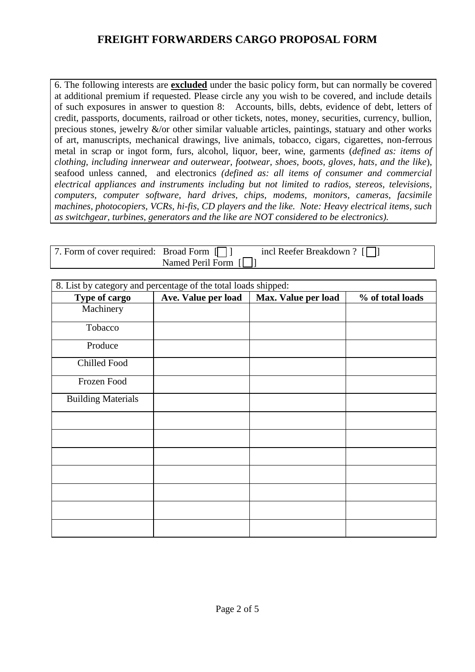6. The following interests are **excluded** under the basic policy form, but can normally be covered at additional premium if requested. Please circle any you wish to be covered, and include details of such exposures in answer to question 8: Accounts, bills, debts, evidence of debt, letters of credit, passports, documents, railroad or other tickets, notes, money, securities, currency, bullion, precious stones, jewelry  $\&$ /or other similar valuable articles, paintings, statuary and other works of art, manuscripts, mechanical drawings, live animals, tobacco, cigars, cigarettes, non-ferrous metal in scrap or ingot form, furs, alcohol, liquor, beer, wine, garments (*defined as: items of clothing, including innerwear and outerwear, footwear, shoes, boots, gloves, hats, and the like*), seafood unless canned, and electronics *(defined as: all items of consumer and commercial electrical appliances and instruments including but not limited to radios, stereos, televisions, computers, computer software, hard drives, chips, modems, monitors, cameras, facsimile machines, photocopiers, VCRs, hi-fis, CD players and the like. Note: Heavy electrical items, such as switchgear, turbines, generators and the like are NOT considered to be electronics).*

| 7. Form of cover required: Broad Form [7] |                                        | incl Reefer Breakdown ? $\lceil \bigcap \rceil$ |
|-------------------------------------------|----------------------------------------|-------------------------------------------------|
|                                           | Named Peril Form $\lceil \cdot \rceil$ |                                                 |

| 8. List by category and percentage of the total loads shipped: |                     |                     |                  |
|----------------------------------------------------------------|---------------------|---------------------|------------------|
| Type of cargo                                                  | Ave. Value per load | Max. Value per load | % of total loads |
| Machinery                                                      |                     |                     |                  |
| Tobacco                                                        |                     |                     |                  |
| Produce                                                        |                     |                     |                  |
| Chilled Food                                                   |                     |                     |                  |
| Frozen Food                                                    |                     |                     |                  |
| <b>Building Materials</b>                                      |                     |                     |                  |
|                                                                |                     |                     |                  |
|                                                                |                     |                     |                  |
|                                                                |                     |                     |                  |
|                                                                |                     |                     |                  |
|                                                                |                     |                     |                  |
|                                                                |                     |                     |                  |
|                                                                |                     |                     |                  |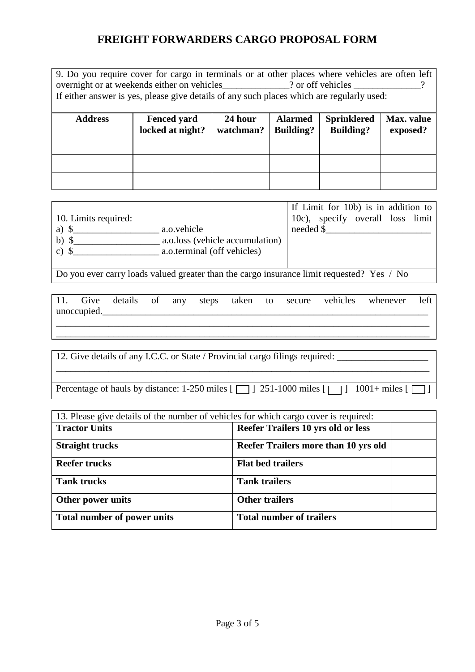9. Do you require cover for cargo in terminals or at other places where vehicles are often left overnight or at weekends either on vehicles \_\_\_\_\_\_\_\_\_\_\_? or off vehicles \_\_\_\_\_\_\_\_\_\_\_\_? If either answer is yes, please give details of any such places which are regularly used:

| <b>Address</b> | <b>Fenced yard</b><br>locked at night? | 24 hour<br>watchman? | <b>Alarmed</b><br><b>Building?</b> | <b>Sprinklered</b><br><b>Building?</b> | Max. value<br>exposed? |
|----------------|----------------------------------------|----------------------|------------------------------------|----------------------------------------|------------------------|
|                |                                        |                      |                                    |                                        |                        |
|                |                                        |                      |                                    |                                        |                        |
|                |                                        |                      |                                    |                                        |                        |

|                      |                                 |           | If Limit for 10b) is in addition to |  |  |
|----------------------|---------------------------------|-----------|-------------------------------------|--|--|
| 10. Limits required: |                                 |           | 10c), specify overall loss limit    |  |  |
| a)                   | a.o.vehicle                     | needed \$ |                                     |  |  |
| $b)$ \$              | a.o.loss (vehicle accumulation) |           |                                     |  |  |
| $\mathbf{c}$         | a.o.terminal (off vehicles)     |           |                                     |  |  |
|                      |                                 |           |                                     |  |  |

Do you ever carry loads valued greater than the cargo insurance limit requested? Yes / No

| 11. |             |  |  |  |  | Give details of any steps taken to secure vehicles whenever left |  |
|-----|-------------|--|--|--|--|------------------------------------------------------------------|--|
|     | unoccupied. |  |  |  |  |                                                                  |  |
|     |             |  |  |  |  |                                                                  |  |

\_\_\_\_\_\_\_\_\_\_\_\_\_\_\_\_\_\_\_\_\_\_\_\_\_\_\_\_\_\_\_\_\_\_\_\_\_\_\_\_\_\_\_\_\_\_\_\_\_\_\_\_\_\_\_\_\_\_\_\_\_\_\_\_\_\_\_\_\_\_\_\_\_\_\_\_\_\_

\_\_\_\_\_\_\_\_\_\_\_\_\_\_\_\_\_\_\_\_\_\_\_\_\_\_\_\_\_\_\_\_\_\_\_\_\_\_\_\_\_\_\_\_\_\_\_\_\_\_\_\_\_\_\_\_\_\_\_\_\_\_\_\_\_\_\_\_\_\_\_\_\_\_\_\_\_\_

12. Give details of any I.C.C. or State / Provincial cargo filings required:

| Percentage of hauls by distance: 1-250 miles [ $\Box$ ] 251-1000 miles [ $\Box$ ] 1001+ miles [ $\Box$ ] |  |  |
|----------------------------------------------------------------------------------------------------------|--|--|
|----------------------------------------------------------------------------------------------------------|--|--|

| 13. Please give details of the number of vehicles for which cargo cover is required: |                                      |  |  |  |
|--------------------------------------------------------------------------------------|--------------------------------------|--|--|--|
| <b>Tractor Units</b>                                                                 | Reefer Trailers 10 yrs old or less   |  |  |  |
| <b>Straight trucks</b>                                                               | Reefer Trailers more than 10 yrs old |  |  |  |
| <b>Reefer trucks</b>                                                                 | <b>Flat bed trailers</b>             |  |  |  |
| <b>Tank trucks</b>                                                                   | <b>Tank trailers</b>                 |  |  |  |
| Other power units                                                                    | <b>Other trailers</b>                |  |  |  |
| <b>Total number of power units</b>                                                   | <b>Total number of trailers</b>      |  |  |  |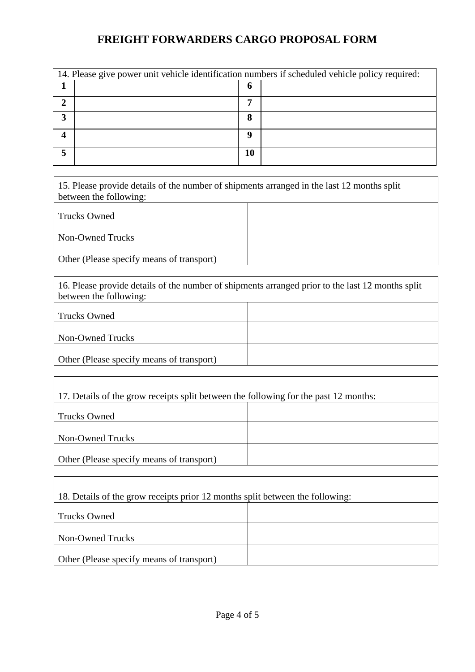|   | 14. Please give power unit vehicle identification numbers if scheduled vehicle policy required: |    |  |  |  |
|---|-------------------------------------------------------------------------------------------------|----|--|--|--|
|   |                                                                                                 | o  |  |  |  |
|   |                                                                                                 | 7  |  |  |  |
| ◠ |                                                                                                 | 8  |  |  |  |
|   |                                                                                                 | Q  |  |  |  |
|   |                                                                                                 | 10 |  |  |  |

15. Please provide details of the number of shipments arranged in the last 12 months split between the following:

| Trucks Owned                              |  |
|-------------------------------------------|--|
| Non-Owned Trucks                          |  |
| Other (Please specify means of transport) |  |

| 16. Please provide details of the number of shipments arranged prior to the last 12 months split<br>between the following: |  |  |  |  |
|----------------------------------------------------------------------------------------------------------------------------|--|--|--|--|
|                                                                                                                            |  |  |  |  |
| <b>Trucks Owned</b>                                                                                                        |  |  |  |  |
|                                                                                                                            |  |  |  |  |
| Non-Owned Trucks                                                                                                           |  |  |  |  |
|                                                                                                                            |  |  |  |  |
| Other (Please specify means of transport)                                                                                  |  |  |  |  |

| 17. Details of the grow receipts split between the following for the past 12 months: |  |  |
|--------------------------------------------------------------------------------------|--|--|
| <b>Trucks Owned</b>                                                                  |  |  |
| Non-Owned Trucks                                                                     |  |  |
| Other (Please specify means of transport)                                            |  |  |

| 18. Details of the grow receipts prior 12 months split between the following: |  |  |
|-------------------------------------------------------------------------------|--|--|
| <b>Trucks Owned</b>                                                           |  |  |
| Non-Owned Trucks                                                              |  |  |
| Other (Please specify means of transport)                                     |  |  |